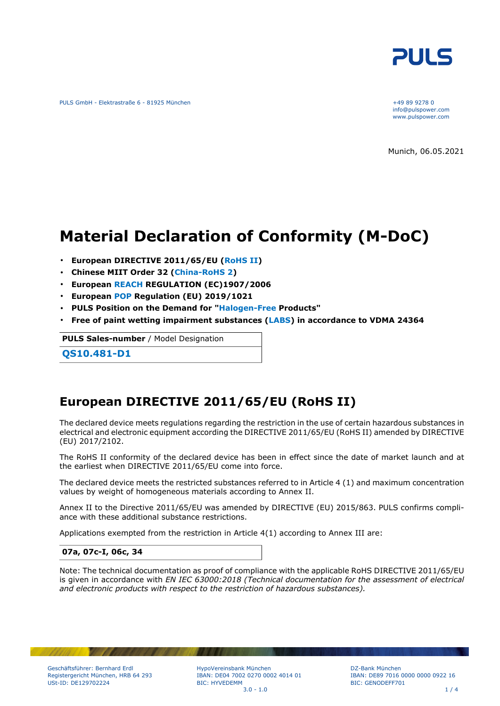

PULS GmbH - Elektrastraße 6 - 81925 München +49 89 9278 0

info@pulspower.com www.pulspower.com

Munich, 06.05.2021

# **Material Declaration of Conformity (M-DoC)**

- **European DIRECTIVE 2011/65/EU (RoHS II)**
- **Chinese MIIT Order 32 (China-RoHS 2)**
- **European REACH REGULATION (EC)1907/2006**
- **European POP Regulation (EU) 2019/1021**
- **PULS Position on the Demand for "Halogen-Free Products"**
- **Free of paint wetting impairment substances (LABS) in accordance to VDMA 24364**

**PULS Sales-number** / Model Designation

**QS10.481-D1**

## **European DIRECTIVE 2011/65/EU (RoHS II)**

The declared device meets regulations regarding the restriction in the use of certain hazardous substances in electrical and electronic equipment according the DIRECTIVE 2011/65/EU (RoHS II) amended by DIRECTIVE (EU) 2017/2102.

The RoHS II conformity of the declared device has been in effect since the date of market launch and at the earliest when DIRECTIVE 2011/65/EU come into force.

The declared device meets the restricted substances referred to in Article 4 (1) and maximum concentration values by weight of homogeneous materials according to Annex II.

Annex II to the Directive 2011/65/EU was amended by DIRECTIVE (EU) 2015/863. PULS confirms compliance with these additional substance restrictions.

Applications exempted from the restriction in Article 4(1) according to Annex III are:

#### **07a, 07c-I, 06c, 34**

Note: The technical documentation as proof of compliance with the applicable RoHS DIRECTIVE 2011/65/EU is given in accordance with *EN IEC 63000:2018 (Technical documentation for the assessment of electrical and electronic products with respect to the restriction of hazardous substances).*

HypoVereinsbank München IBAN: DE04 7002 0270 0002 4014 01 BIC: HYVEDEMM  $3.0 - 1.0$  1 / 4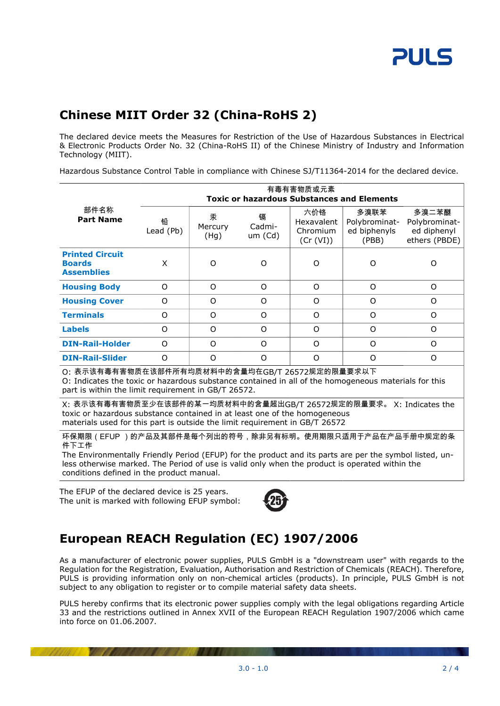## **Chinese MIIT Order 32 (China-RoHS 2)**

The declared device meets the Measures for Restriction of the Use of Hazardous Substances in Electrical & Electronic Products Order No. 32 (China-RoHS II) of the Chinese Ministry of Industry and Information Technology (MIIT).

Hazardous Substance Control Table in compliance with Chinese SJ/T11364-2014 for the declared device.

|                                                                                                                                                                                                                                                                                                                          | 有毒有害物质或元素<br><b>Toxic or hazardous Substances and Elements</b> |                      |                        |                                            |                                                |                                                        |  |
|--------------------------------------------------------------------------------------------------------------------------------------------------------------------------------------------------------------------------------------------------------------------------------------------------------------------------|----------------------------------------------------------------|----------------------|------------------------|--------------------------------------------|------------------------------------------------|--------------------------------------------------------|--|
| 部件名称<br><b>Part Name</b>                                                                                                                                                                                                                                                                                                 | 铅<br>Lead (Pb)                                                 | 汞<br>Mercury<br>(Hg) | 镉<br>Cadmi-<br>um (Cd) | 六价铬<br>Hexavalent<br>Chromium<br>(Cr (VI)) | 多溴联苯<br>Polybrominat-<br>ed biphenyls<br>(PBB) | 多溴二苯醚<br>Polybrominat-<br>ed diphenyl<br>ethers (PBDE) |  |
| <b>Printed Circuit</b><br><b>Boards</b><br><b>Assemblies</b>                                                                                                                                                                                                                                                             | X                                                              | O                    | O                      | O                                          | O                                              | $\circ$                                                |  |
| <b>Housing Body</b>                                                                                                                                                                                                                                                                                                      | $\Omega$                                                       | O                    | $\Omega$               | $\Omega$                                   | $\circ$                                        | $\Omega$                                               |  |
| <b>Housing Cover</b>                                                                                                                                                                                                                                                                                                     | O                                                              | O                    | O                      | $\Omega$                                   | O                                              | $\circ$                                                |  |
| <b>Terminals</b>                                                                                                                                                                                                                                                                                                         | O                                                              | O                    | O                      | O                                          | O                                              | 0                                                      |  |
| <b>Labels</b>                                                                                                                                                                                                                                                                                                            | O                                                              | O                    | O                      | O                                          | O                                              | $\circ$                                                |  |
| <b>DIN-Rail-Holder</b>                                                                                                                                                                                                                                                                                                   | $\Omega$                                                       | O                    | $\Omega$               | $\Omega$                                   | O                                              | $\Omega$                                               |  |
| <b>DIN-Rail-Slider</b>                                                                                                                                                                                                                                                                                                   | O                                                              | O                    | O                      | O                                          | O                                              | O                                                      |  |
| O: 表示该有毒有害物质在该部件所有均质材料中的含量均在GB/T 26572规定的限量要求以下<br>O: Indicates the toxic or hazardous substance contained in all of the homogeneous materials for this<br>part is within the limit requirement in GB/T 26572.                                                                                                           |                                                                |                      |                        |                                            |                                                |                                                        |  |
| X: 表示该有毒有害物质至少在该部件的某一均质材料中的含量超出GB/T 26572规定的限量要求。 X: Indicates the<br>toxic or hazardous substance contained in at least one of the homogeneous<br>materials used for this part is outside the limit requirement in GB/T 26572                                                                                           |                                                                |                      |                        |                                            |                                                |                                                        |  |
| 环保期限(EFUP )的产品及其部件是每个列出的符号,除非另有标明。使用期限只适用于产品在产品手册中规定的条<br>件下工作<br>The Environmentally Friendly Period (EFUP) for the product and its parts are per the symbol listed, un-<br>less otherwise marked. The Period of use is valid only when the product is operated within the<br>conditions defined in the product manual. |                                                                |                      |                        |                                            |                                                |                                                        |  |

The EFUP of the declared device is 25 years. The unit is marked with following EFUP symbol:



## **European REACH Regulation (EC) 1907/2006**

As a manufacturer of electronic power supplies, PULS GmbH is a "downstream user" with regards to the Regulation for the Registration, Evaluation, Authorisation and Restriction of Chemicals (REACH). Therefore, PULS is providing information only on non-chemical articles (products). In principle, PULS GmbH is not subject to any obligation to register or to compile material safety data sheets.

PULS hereby confirms that its electronic power supplies comply with the legal obligations regarding Article 33 and the restrictions outlined in Annex XVII of the European REACH Regulation 1907/2006 which came into force on 01.06.2007.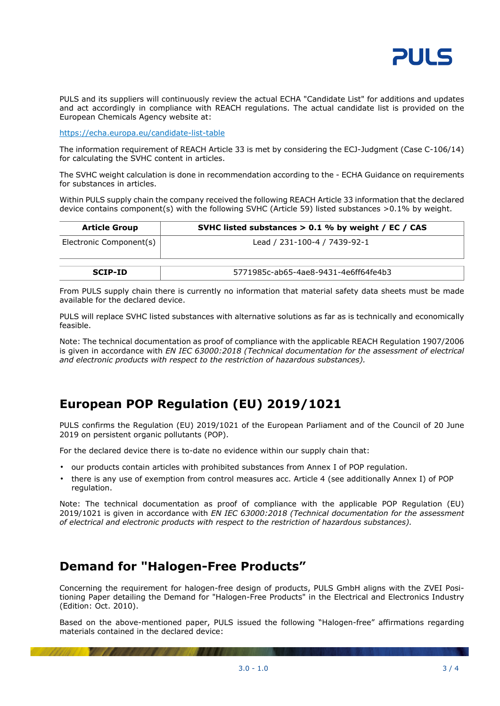

PULS and its suppliers will continuously review the actual ECHA "Candidate List" for additions and updates and act accordingly in compliance with REACH regulations. The actual candidate list is provided on the European Chemicals Agency website at:

<https://echa.europa.eu/candidate-list-table>

The information requirement of REACH Article 33 is met by considering the ECJ-Judgment (Case C-106/14) for calculating the SVHC content in articles.

The SVHC weight calculation is done in recommendation according to the - ECHA Guidance on requirements for substances in articles.

Within PULS supply chain the company received the following REACH Article 33 information that the declared device contains component(s) with the following SVHC (Article 59) listed substances >0.1% by weight.

| <b>Article Group</b>    | SVHC listed substances $> 0.1$ % by weight / EC / CAS |
|-------------------------|-------------------------------------------------------|
| Electronic Component(s) | Lead / 231-100-4 / 7439-92-1                          |
| <b>SCIP-ID</b>          | 5771985c-ab65-4ae8-9431-4e6ff64fe4b3                  |

From PULS supply chain there is currently no information that material safety data sheets must be made available for the declared device.

PULS will replace SVHC listed substances with alternative solutions as far as is technically and economically feasible.

Note: The technical documentation as proof of compliance with the applicable REACH Regulation 1907/2006 is given in accordance with *EN IEC 63000:2018 (Technical documentation for the assessment of electrical and electronic products with respect to the restriction of hazardous substances).*

## **European POP Regulation (EU) 2019/1021**

PULS confirms the Regulation (EU) 2019/1021 of the European Parliament and of the Council of 20 June 2019 on persistent organic pollutants (POP).

For the declared device there is to-date no evidence within our supply chain that:

- our products contain articles with prohibited substances from Annex I of POP regulation.
- there is any use of exemption from control measures acc. Article 4 (see additionally Annex I) of POP regulation.

Note: The technical documentation as proof of compliance with the applicable POP Regulation (EU) 2019/1021 is given in accordance with *EN IEC 63000:2018 (Technical documentation for the assessment of electrical and electronic products with respect to the restriction of hazardous substances).*

### **Demand for "Halogen-Free Products"**

Concerning the requirement for halogen-free design of products, PULS GmbH aligns with the ZVEI Positioning Paper detailing the Demand for "Halogen-Free Products" in the Electrical and Electronics Industry (Edition: Oct. 2010).

Based on the above-mentioned paper, PULS issued the following "Halogen-free" affirmations regarding materials contained in the declared device: